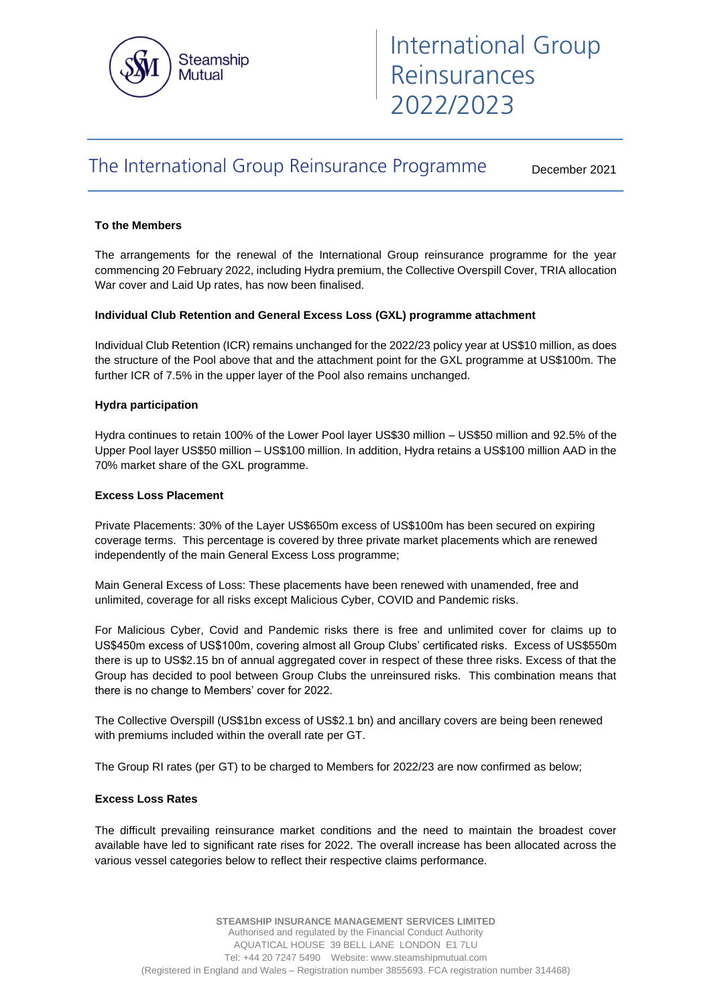

# The International Group Reinsurance Programme

December 2021

## **To the Members**

The arrangements for the renewal of the International Group reinsurance programme for the year commencing 20 February 2022, including Hydra premium, the Collective Overspill Cover, TRIA allocation War cover and Laid Up rates, has now been finalised.

## **Individual Club Retention and General Excess Loss (GXL) programme attachment**

Individual Club Retention (ICR) remains unchanged for the 2022/23 policy year at US\$10 million, as does the structure of the Pool above that and the attachment point for the GXL programme at US\$100m. The further ICR of 7.5% in the upper layer of the Pool also remains unchanged.

# **Hydra participation**

Hydra continues to retain 100% of the Lower Pool layer US\$30 million – US\$50 million and 92.5% of the Upper Pool layer US\$50 million – US\$100 million. In addition, Hydra retains a US\$100 million AAD in the 70% market share of the GXL programme.

## **Excess Loss Placement**

Private Placements: 30% of the Layer US\$650m excess of US\$100m has been secured on expiring coverage terms. This percentage is covered by three private market placements which are renewed independently of the main General Excess Loss programme;

Main General Excess of Loss: These placements have been renewed with unamended, free and unlimited, coverage for all risks except Malicious Cyber, COVID and Pandemic risks.

For Malicious Cyber, Covid and Pandemic risks there is free and unlimited cover for claims up to US\$450m excess of US\$100m, covering almost all Group Clubs' certificated risks. Excess of US\$550m there is up to US\$2.15 bn of annual aggregated cover in respect of these three risks. Excess of that the Group has decided to pool between Group Clubs the unreinsured risks. This combination means that there is no change to Members' cover for 2022.

The Collective Overspill (US\$1bn excess of US\$2.1 bn) and ancillary covers are being been renewed with premiums included within the overall rate per GT.

The Group RI rates (per GT) to be charged to Members for 2022/23 are now confirmed as below;

## **Excess Loss Rates**

The difficult prevailing reinsurance market conditions and the need to maintain the broadest cover available have led to significant rate rises for 2022. The overall increase has been allocated across the various vessel categories below to reflect their respective claims performance.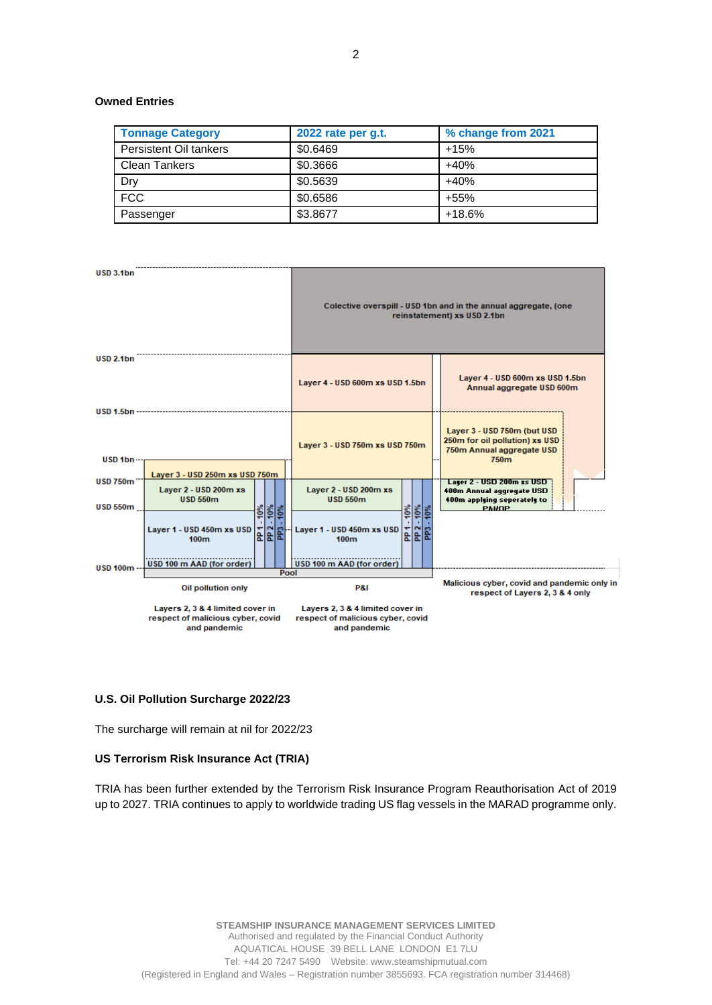# **Owned Entries**

| <b>Tonnage Category</b> | 2022 rate per g.t. | % change from 2021 |
|-------------------------|--------------------|--------------------|
| Persistent Oil tankers  | \$0.6469           | $+15%$             |
| <b>Clean Tankers</b>    | \$0.3666           | $+40%$             |
| Dry                     | \$0.5639           | $+40%$             |
| <b>FCC</b>              | \$0.6586           | $+55%$             |
| Passenger               | \$3.8677           | $+18.6%$           |



#### **U.S. Oil Pollution Surcharge 2022/23**

The surcharge will remain at nil for 2022/23

#### **US Terrorism Risk Insurance Act (TRIA)**

TRIA has been further extended by the Terrorism Risk Insurance Program Reauthorisation Act of 2019 up to 2027. TRIA continues to apply to worldwide trading US flag vessels in the MARAD programme only.